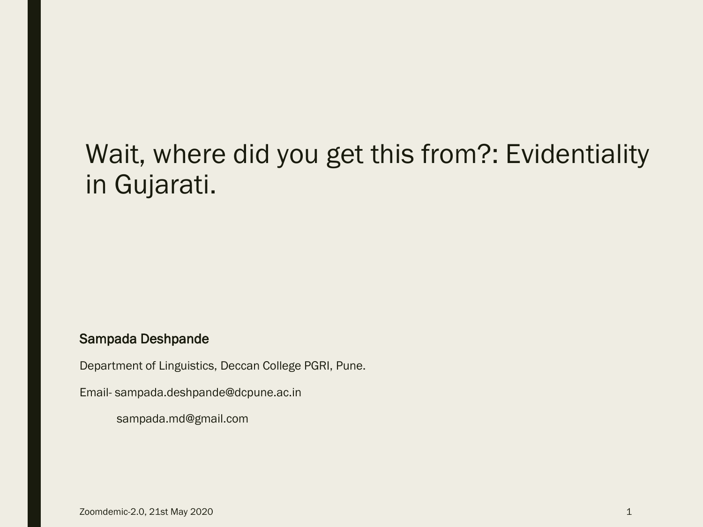### Wait, where did you get this from?: Evidentiality in Gujarati.

#### Sampada Deshpande

Department of Linguistics, Deccan College PGRI, Pune.

Email- sampada.deshpande@dcpune.ac.in

sampada.md@gmail.com

Zoomdemic-2.0, 21st May 2020 1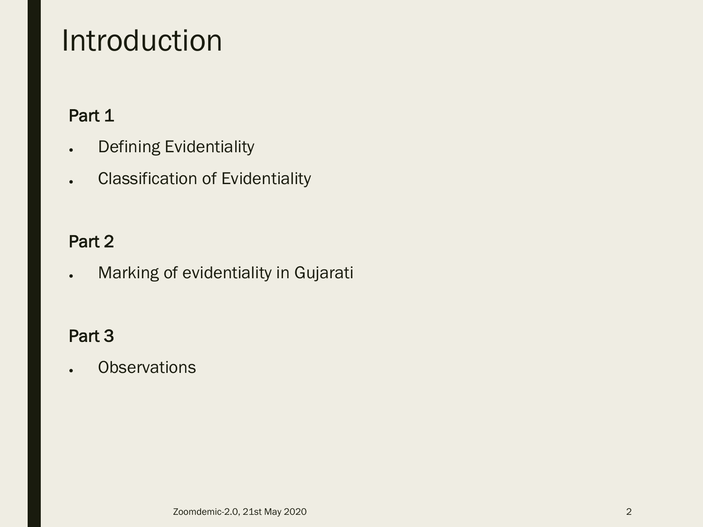### Introduction

### Part 1

- Defining Evidentiality
- **Classification of Evidentiality**

### Part 2

● Marking of evidentiality in Gujarati

### Part 3

**.** Observations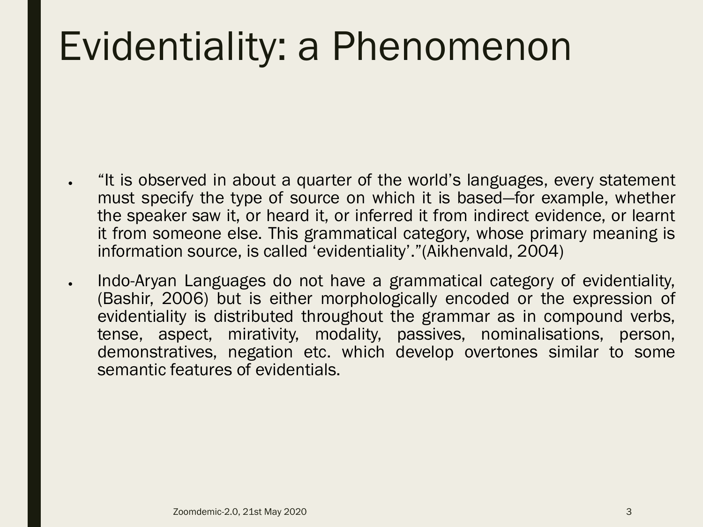## Evidentiality: a Phenomenon

- "It is observed in about a quarter of the world's languages, every statement must specify the type of source on which it is based—for example, whether the speaker saw it, or heard it, or inferred it from indirect evidence, or learnt it from someone else. This grammatical category, whose primary meaning is information source, is called 'evidentiality'."(Aikhenvald, 2004)
- Indo-Aryan Languages do not have a grammatical category of evidentiality, (Bashir, 2006) but is either morphologically encoded or the expression of evidentiality is distributed throughout the grammar as in compound verbs, tense, aspect, mirativity, modality, passives, nominalisations, person, demonstratives, negation etc. which develop overtones similar to some semantic features of evidentials.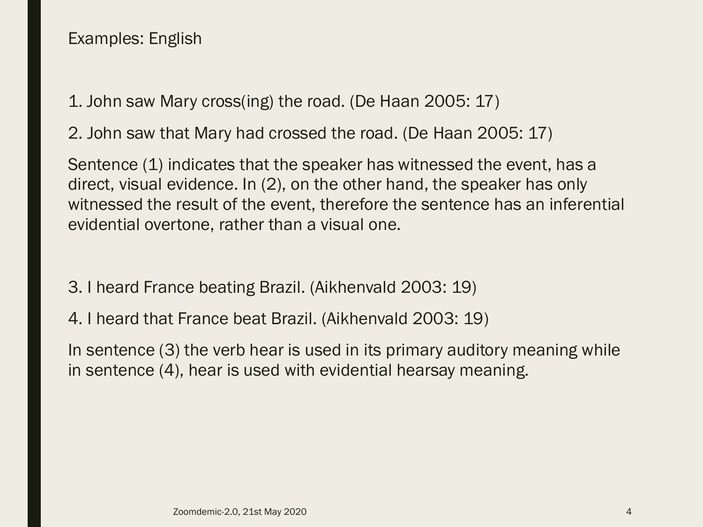1. John saw Mary cross(ing) the road. (De Haan 2005: 17)

2. John saw that Mary had crossed the road. (De Haan 2005: 17)

Sentence (1) indicates that the speaker has witnessed the event, has a direct, visual evidence. In (2), on the other hand, the speaker has only witnessed the result of the event, therefore the sentence has an inferential evidential overtone, rather than a visual one.

- 3. I heard France beating Brazil. (Aikhenvald 2003: 19)
- 4. I heard that France beat Brazil. (Aikhenvald 2003: 19)

In sentence (3) the verb hear is used in its primary auditory meaning while in sentence (4), hear is used with evidential hearsay meaning.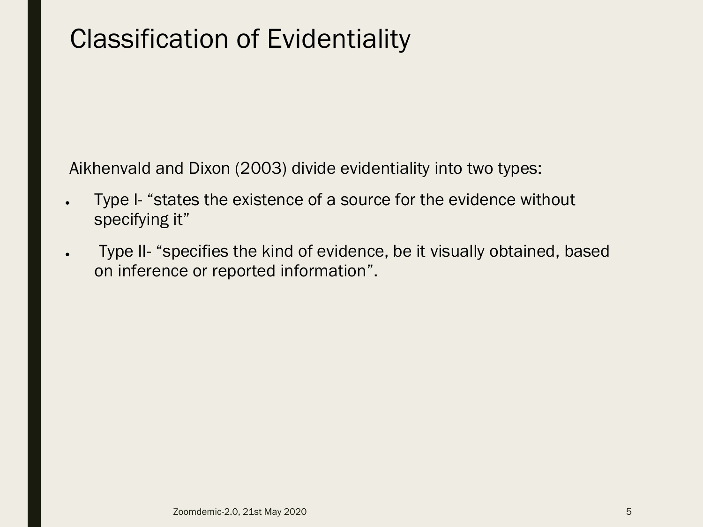### Classification of Evidentiality

Aikhenvald and Dixon (2003) divide evidentiality into two types:

- Type I- "states the existence of a source for the evidence without specifying it"
- Type II- "specifies the kind of evidence, be it visually obtained, based on inference or reported information".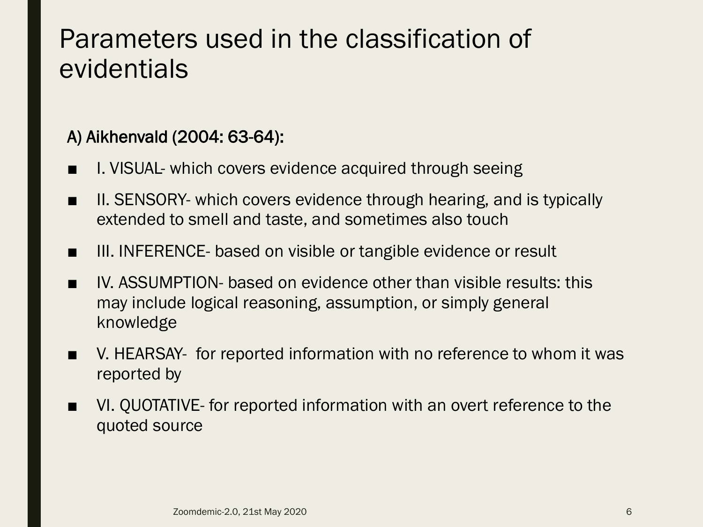### Parameters used in the classification of evidentials

### A) Aikhenvald (2004: 63-64):

- I. VISUAL- which covers evidence acquired through seeing
- II. SENSORY- which covers evidence through hearing, and is typically extended to smell and taste, and sometimes also touch
- III. INFERENCE- based on visible or tangible evidence or result
- IV. ASSUMPTION- based on evidence other than visible results: this may include logical reasoning, assumption, or simply general knowledge
- V. HEARSAY- for reported information with no reference to whom it was reported by
- VI. QUOTATIVE- for reported information with an overt reference to the quoted source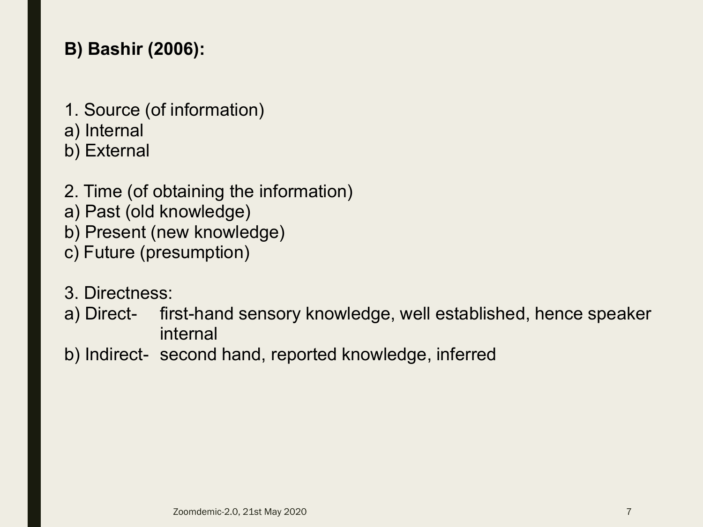### **B) Bashir (2006):**

- 1. Source (of information)
- a) Internal
- b) External
- 2. Time (of obtaining the information)
- a) Past (old knowledge)
- b) Present (new knowledge)
- c) Future (presumption)
- 3. Directness:
- a) Direct- first-hand sensory knowledge, well established, hence speaker internal
- b) Indirect- second hand, reported knowledge, inferred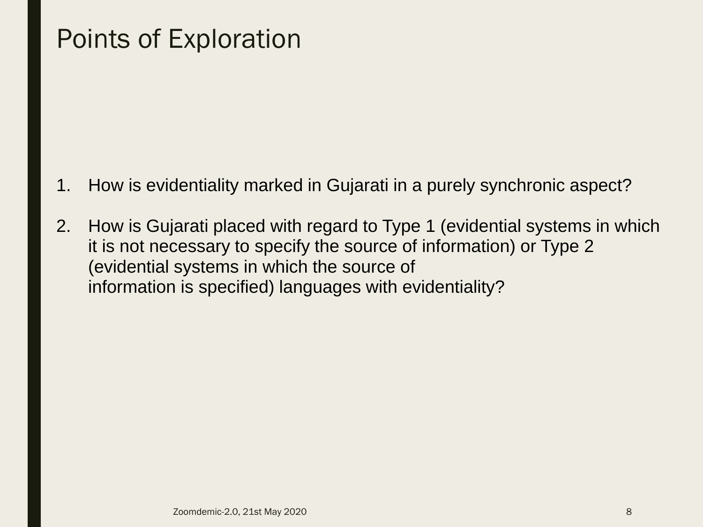### Points of Exploration

- 1. How is evidentiality marked in Gujarati in a purely synchronic aspect?
- 2. How is Gujarati placed with regard to Type 1 (evidential systems in which it is not necessary to specify the source of information) or Type 2 (evidential systems in which the source of information is specified) languages with evidentiality?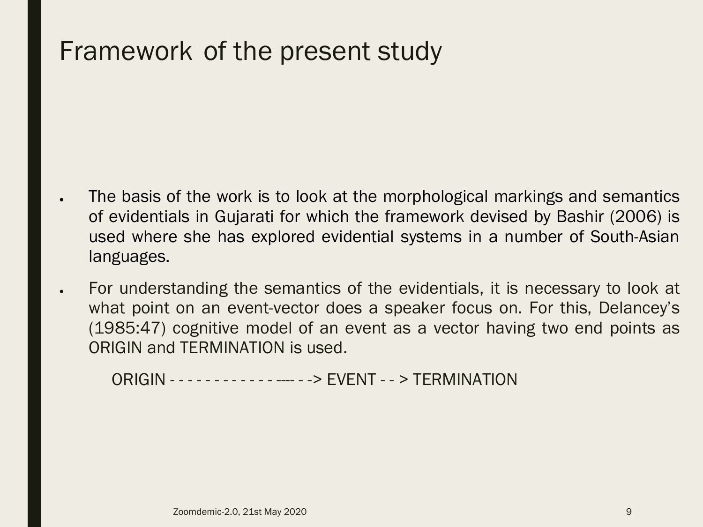### Framework of the present study

- The basis of the work is to look at the morphological markings and semantics of evidentials in Gujarati for which the framework devised by Bashir (2006) is used where she has explored evidential systems in a number of South-Asian languages.
- For understanding the semantics of the evidentials, it is necessary to look at what point on an event-vector does a speaker focus on. For this, Delancey's (1985:47) cognitive model of an event as a vector having two end points as ORIGIN and TERMINATION is used.

ORIGIN - - - - - - - - - - - - ---- - -> EVENT - - > TERMINATION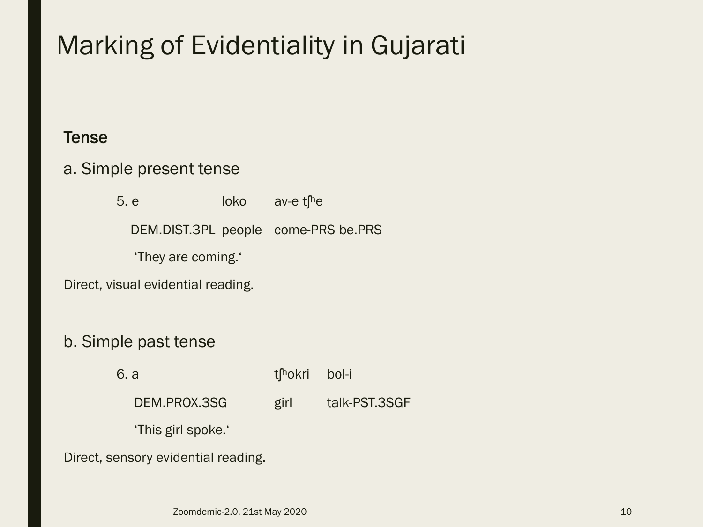### Marking of Evidentiality in Gujarati

#### **Tense**

#### a. Simple present tense

5. e loko av-e t<sup>h</sup>e DEM.DIST.3PL people come-PRS be.PRS 'They are coming.' Direct, visual evidential reading.

#### b. Simple past tense

6. a tʃ<sup>n</sup>okri bol-i

DEM.PROX.3SG girl talk-PST.3SGF

'This girl spoke.'

Direct, sensory evidential reading.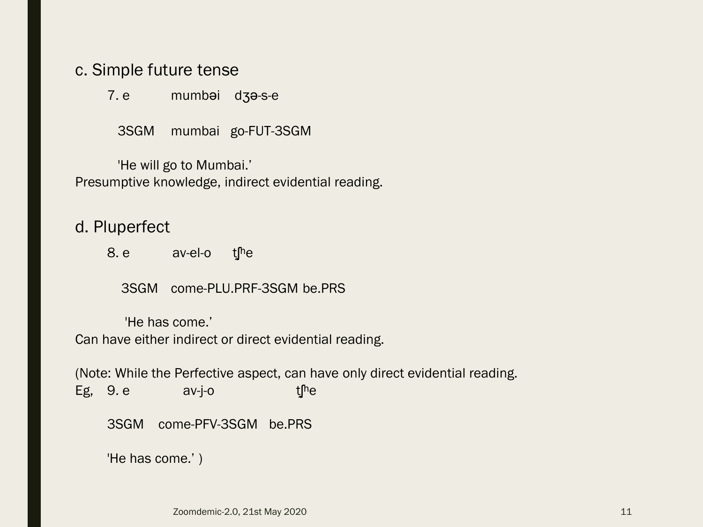#### c. Simple future tense

7. e mumbəi dʒə-s-e

3SGM mumbai go-FUT-3SGM

'He will go to Mumbai.' Presumptive knowledge, indirect evidential reading.

d. Pluperfect

8. e av-el-o the

3SGM come-PLU.PRF-3SGM be.PRS

'He has come.' Can have either indirect or direct evidential reading.

(Note: While the Perfective aspect, can have only direct evidential reading. Eg,  $9. e$  av-j-o t<sup>he</sup> 3SGM come-PFV-3SGM be.PRS 'He has come.' )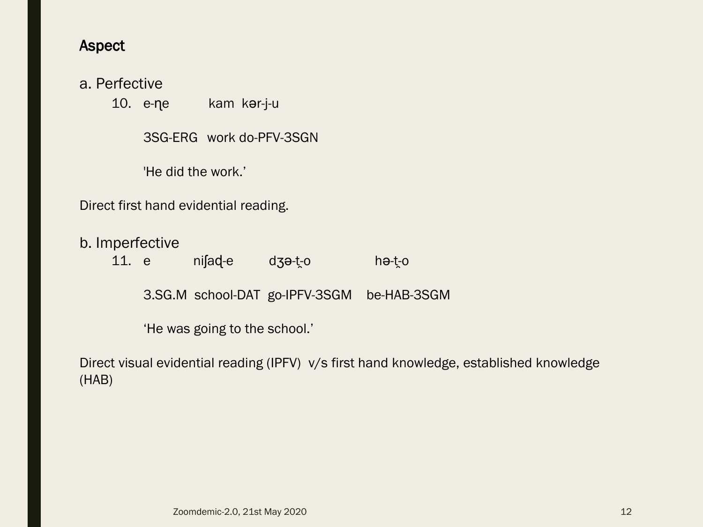#### Aspect

#### a. Perfective

10. e-ɳe kam kər-j-u

3SG-ERG work do-PFV-3SGN

'He did the work.'

Direct first hand evidential reading.

b. Imperfective

11. e niʃaɖ-e dʒə-t̯-o hə-t̯-o

3.SG.M school-DAT go-IPFV-3SGM be-HAB-3SGM

'He was going to the school.'

Direct visual evidential reading (IPFV) v/s first hand knowledge, established knowledge (HAB)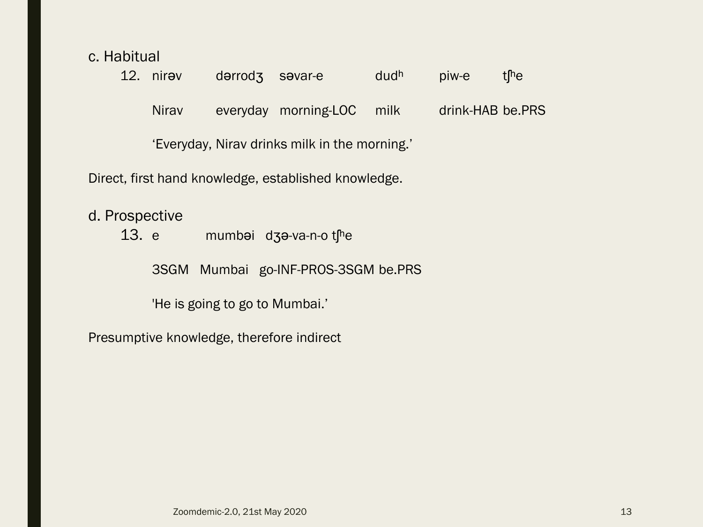c. Habitual

d.

|                                                      |       | 12. nirav      | dərrod <sub>3</sub> | savar-e                               | dudh | piw-e            | t <sup>[h</sup> e |  |  |  |  |
|------------------------------------------------------|-------|----------------|---------------------|---------------------------------------|------|------------------|-------------------|--|--|--|--|
|                                                      |       | <b>Nirav</b>   |                     | everyday morning-LOC                  | milk | drink-HAB be.PRS |                   |  |  |  |  |
| 'Everyday, Nirav drinks milk in the morning.'        |       |                |                     |                                       |      |                  |                   |  |  |  |  |
| Direct, first hand knowledge, established knowledge. |       |                |                     |                                       |      |                  |                   |  |  |  |  |
|                                                      | 13. e | d. Prospective |                     | mumbai $d$ 3a-va-n-o t <sup>h</sup> e |      |                  |                   |  |  |  |  |

3SGM Mumbai go-INF-PROS-3SGM be.PRS

'He is going to go to Mumbai.'

Presumptive knowledge, therefore indirect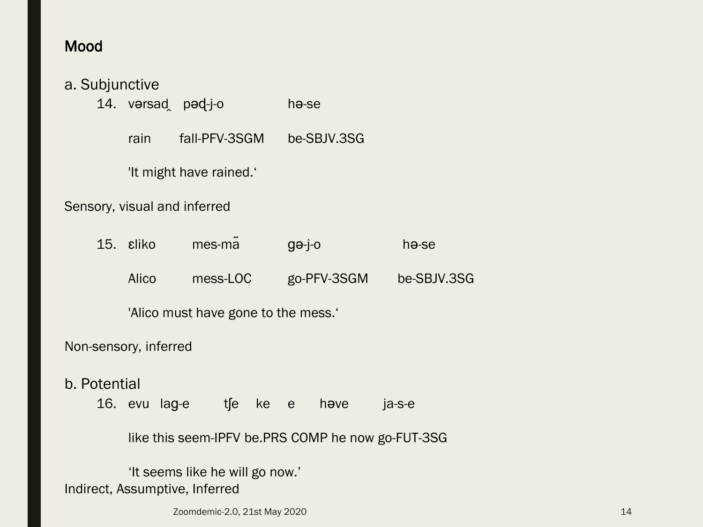### Mood

|                                                   | a. Subjunctive<br>14. varsad pad-j-o |               |          |                   | h <del>o</del> -se |                    |             |  |  |  |  |
|---------------------------------------------------|--------------------------------------|---------------|----------|-------------------|--------------------|--------------------|-------------|--|--|--|--|
|                                                   | rain                                 | fall-PFV-3SGM |          |                   | be-SBJV.3SG        |                    |             |  |  |  |  |
|                                                   | 'It might have rained.'              |               |          |                   |                    |                    |             |  |  |  |  |
| Sensory, visual and inferred                      |                                      |               |          |                   |                    |                    |             |  |  |  |  |
|                                                   | 15. sliko                            | mes-ma        |          | $g_{\theta}$ -j-o |                    | h <del>o</del> -se |             |  |  |  |  |
|                                                   | <b>Alico</b>                         |               | mess-LOC |                   | go-PFV-3SGM        |                    | be-SBJV.3SG |  |  |  |  |
|                                                   | 'Alico must have gone to the mess.'  |               |          |                   |                    |                    |             |  |  |  |  |
| Non-sensory, inferred                             |                                      |               |          |                   |                    |                    |             |  |  |  |  |
| b. Potential                                      |                                      |               |          |                   |                    |                    |             |  |  |  |  |
|                                                   | 16. evu lag-e                        |               | tfe ke e |                   |                    | have               | ja-s-e      |  |  |  |  |
| like this seem-IPFV be.PRS COMP he now go-FUT-3SG |                                      |               |          |                   |                    |                    |             |  |  |  |  |

'It seems like he will go now.' Indirect, Assumptive, Inferred

zoomdemic-2.0, 21st May 2020 14 and 200 14 and 200 14 and 200 14 and 200 14 and 200 14 and 200 14 and 200 14 and 200 14 and 200 14 and 200 14 and 200 14 and 200 14 and 200 14 and 200 14 and 200 14 and 200 14 and 200 14 and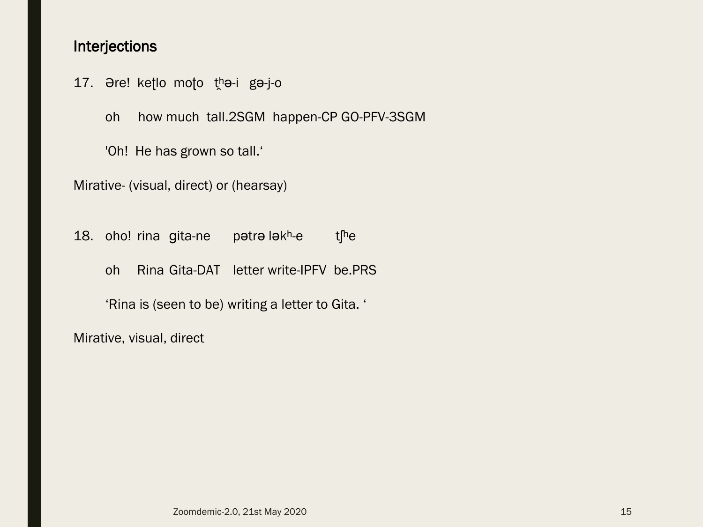#### Interjections

17. Əre! ketlo moto tha-i ga-j-o

oh how much tall.2SGM happen-CP GO-PFV-3SGM

'Oh! He has grown so tall.'

Mirative- (visual, direct) or (hearsay)

18. oho! rina gita-ne patra lakh-e the oh Rina Gita-DAT letter write-IPFV be.PRS

'Rina is (seen to be) writing a letter to Gita. '

Mirative, visual, direct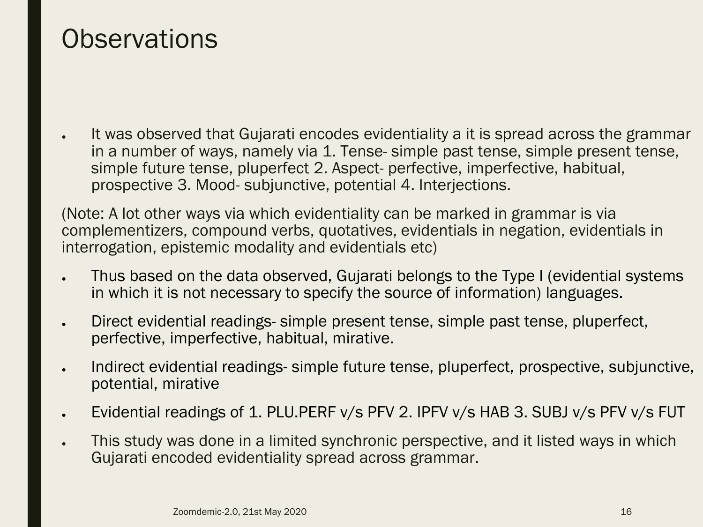### **Observations**

• It was observed that Gujarati encodes evidentiality a it is spread across the grammar in a number of ways, namely via 1. Tense- simple past tense, simple present tense, simple future tense, pluperfect 2. Aspect- perfective, imperfective, habitual, prospective 3. Mood- subjunctive, potential 4. Interjections.

(Note: A lot other ways via which evidentiality can be marked in grammar is via complementizers, compound verbs, quotatives, evidentials in negation, evidentials in interrogation, epistemic modality and evidentials etc)

- Thus based on the data observed, Gujarati belongs to the Type I (evidential systems in which it is not necessary to specify the source of information) languages.
- Direct evidential readings- simple present tense, simple past tense, pluperfect, perfective, imperfective, habitual, mirative.
- Indirect evidential readings- simple future tense, pluperfect, prospective, subjunctive, potential, mirative
- Evidential readings of 1. PLU.PERF  $v/s$  PFV 2. IPFV  $v/s$  HAB 3. SUBJ  $v/s$  PFV  $v/s$  FUT
- This study was done in a limited synchronic perspective, and it listed ways in which Gujarati encoded evidentiality spread across grammar.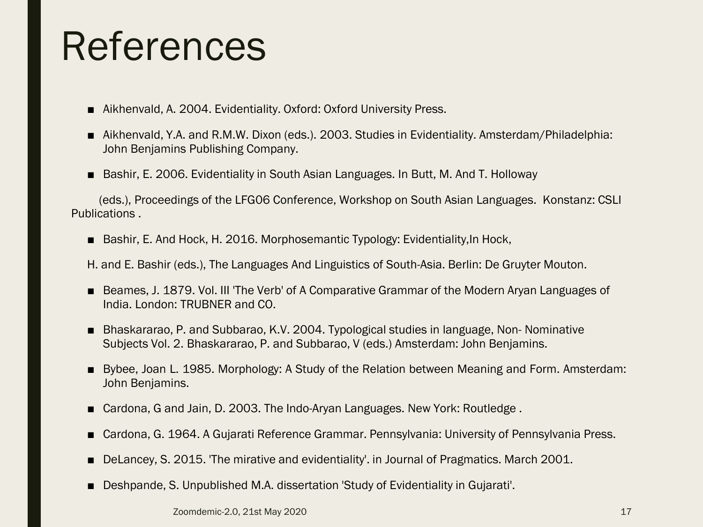## References

- Aikhenvald, A. 2004. Evidentiality. Oxford: Oxford University Press.
- Aikhenvald, Y.A. and R.M.W. Dixon (eds.). 2003. Studies in Evidentiality. Amsterdam/Philadelphia: John Benjamins Publishing Company.
- Bashir, E. 2006. Evidentiality in South Asian Languages. In Butt, M. And T. Holloway

(eds.), Proceedings of the LFG06 Conference, Workshop on South Asian Languages. Konstanz: CSLI Publications .

■ Bashir, E. And Hock, H. 2016. Morphosemantic Typology: Evidentiality, In Hock,

H. and E. Bashir (eds.), The Languages And Linguistics of South-Asia. Berlin: De Gruyter Mouton.

- Beames, J. 1879. Vol. III 'The Verb' of A Comparative Grammar of the Modern Aryan Languages of India. London: TRUBNER and CO.
- Bhaskararao, P. and Subbarao, K.V. 2004. Typological studies in language, Non- Nominative Subjects Vol. 2. Bhaskararao, P. and Subbarao, V (eds.) Amsterdam: John Benjamins.
- Bybee, Joan L. 1985. Morphology: A Study of the Relation between Meaning and Form. Amsterdam: John Benjamins.
- Cardona, G and Jain, D. 2003. The Indo-Aryan Languages. New York: Routledge.
- Cardona, G. 1964. A Gujarati Reference Grammar. Pennsylvania: University of Pennsylvania Press.
- DeLancey, S. 2015. 'The mirative and evidentiality'. in Journal of Pragmatics. March 2001.
- Deshpande, S. Unpublished M.A. dissertation 'Study of Evidentiality in Gujarati'.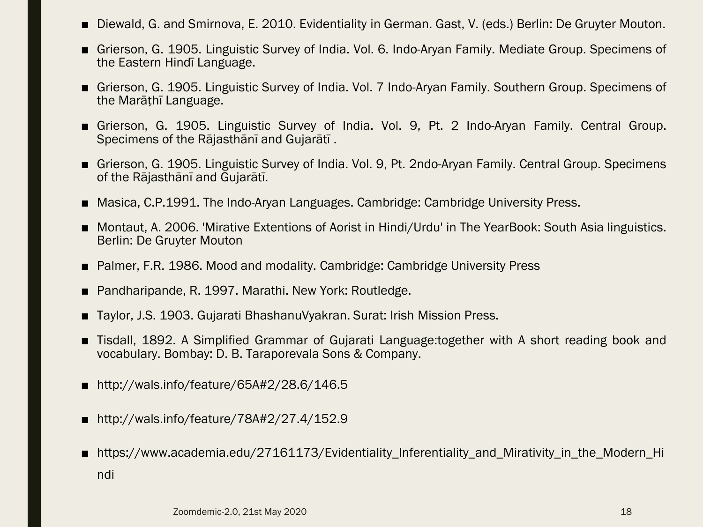- Diewald, G. and Smirnova, E. 2010. Evidentiality in German. Gast, V. (eds.) Berlin: De Gruyter Mouton.
- Grierson, G. 1905. Linguistic Survey of India. Vol. 6. Indo-Aryan Family. Mediate Group. Specimens of the Eastern Hindī Language.
- Grierson, G. 1905. Linguistic Survey of India. Vol. 7 Indo-Arvan Family. Southern Group. Specimens of the Marāṭhī Language.
- Grierson, G. 1905. Linguistic Survey of India. Vol. 9, Pt. 2 Indo-Aryan Family. Central Group. Specimens of the Rājasthānī and Gujarātī .
- Grierson, G. 1905. Linguistic Survey of India. Vol. 9, Pt. 2ndo-Aryan Family. Central Group. Specimens of the Rājasthānī and Gujarātī.
- Masica, C.P.1991. The Indo-Arvan Languages. Cambridge: Cambridge University Press.
- Montaut, A. 2006. 'Mirative Extentions of Aorist in Hindi/Urdu' in The YearBook: South Asia linguistics. Berlin: De Gruyter Mouton
- Palmer, F.R. 1986. Mood and modality. Cambridge: Cambridge University Press
- Pandharipande, R. 1997. Marathi. New York: Routledge.
- Taylor, J.S. 1903. Gujarati BhashanuVyakran. Surat: Irish Mission Press.
- Tisdall, 1892. A Simplified Grammar of Gujarati Language:together with A short reading book and vocabulary. Bombay: D. B. Taraporevala Sons & Company.
- http://wals.info/feature/65A#2/28.6/146.5
- http://wals.info/feature/78A#2/27.4/152.9
- https://www.academia.edu/27161173/Evidentiality\_Inferentiality\_and\_Mirativity\_in\_the\_Modern\_Hi ndi